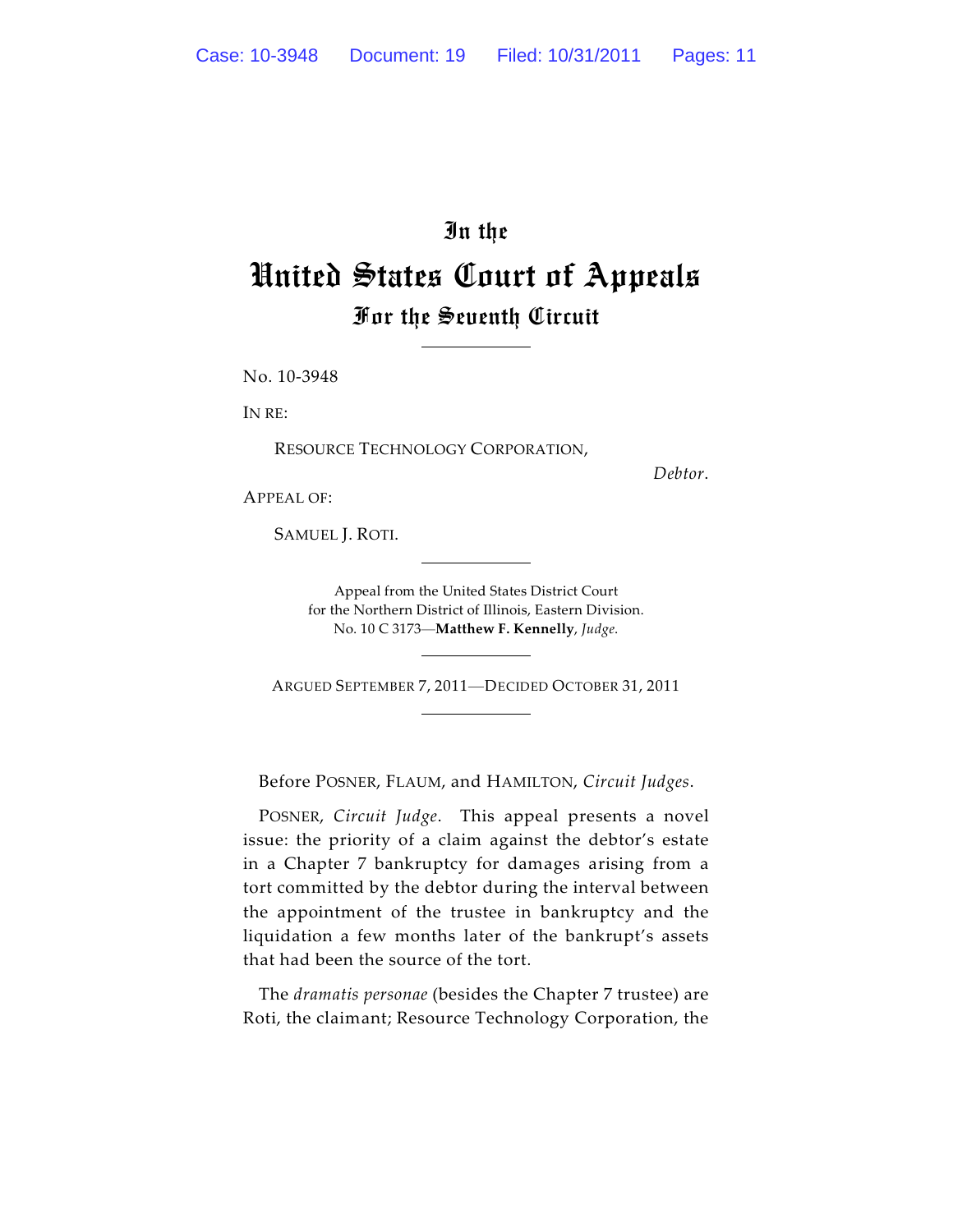## In the United States Court of Appeals For the Seventh Circuit

No. 10-3948

IN RE:

RESOURCE TECHNOLOGY CORPORATION,

*Debtor*.

APPEAL OF:

SAMUEL J. ROTI.

Appeal from the United States District Court for the Northern District of Illinois, Eastern Division. No. 10 C 3173—**Matthew F. Kennelly**, *Judge*.

ARGUED SEPTEMBER 7, 2011—DECIDED OCTOBER 31, 2011

Before POSNER, FLAUM, and HAMILTON, *Circuit Judges*.

POSNER, *Circuit Judge*. This appeal presents a novel issue: the priority of a claim against the debtor's estate in a Chapter 7 bankruptcy for damages arising from a tort committed by the debtor during the interval between the appointment of the trustee in bankruptcy and the liquidation a few months later of the bankrupt's assets that had been the source of the tort.

The *dramatis personae* (besides the Chapter 7 trustee) are Roti, the claimant; Resource Technology Corporation, the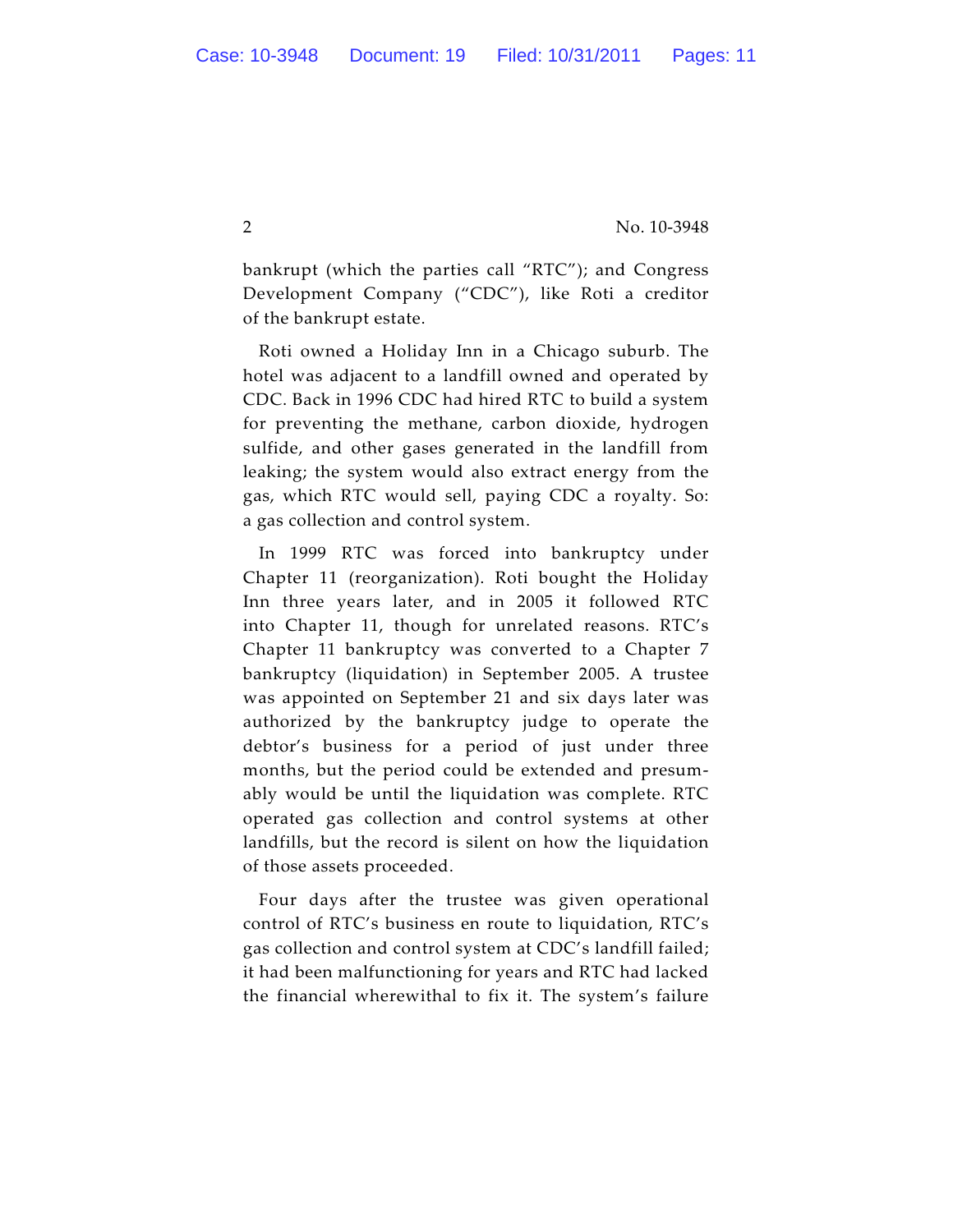bankrupt (which the parties call "RTC"); and Congress Development Company ("CDC"), like Roti a creditor of the bankrupt estate.

Roti owned a Holiday Inn in a Chicago suburb. The hotel was adjacent to a landfill owned and operated by CDC. Back in 1996 CDC had hired RTC to build a system for preventing the methane, carbon dioxide, hydrogen sulfide, and other gases generated in the landfill from leaking; the system would also extract energy from the gas, which RTC would sell, paying CDC a royalty. So: a gas collection and control system.

In 1999 RTC was forced into bankruptcy under Chapter 11 (reorganization). Roti bought the Holiday Inn three years later, and in 2005 it followed RTC into Chapter 11, though for unrelated reasons. RTC's Chapter 11 bankruptcy was converted to a Chapter 7 bankruptcy (liquidation) in September 2005. A trustee was appointed on September 21 and six days later was authorized by the bankruptcy judge to operate the debtor's business for a period of just under three months, but the period could be extended and presumably would be until the liquidation was complete. RTC operated gas collection and control systems at other landfills, but the record is silent on how the liquidation of those assets proceeded.

Four days after the trustee was given operational control of RTC's business en route to liquidation, RTC's gas collection and control system at CDC's landfill failed; it had been malfunctioning for years and RTC had lacked the financial wherewithal to fix it. The system's failure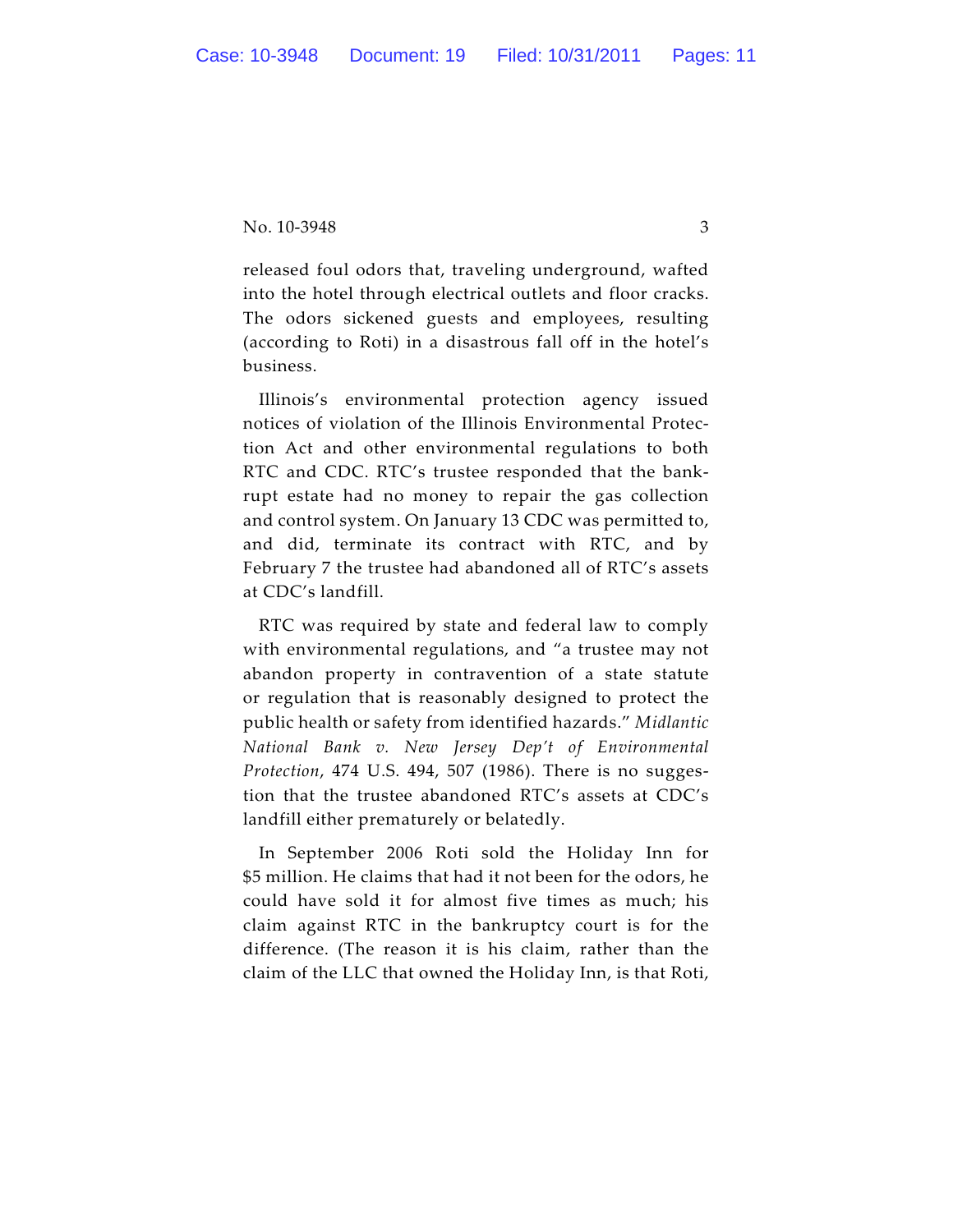released foul odors that, traveling underground, wafted into the hotel through electrical outlets and floor cracks. The odors sickened guests and employees, resulting (according to Roti) in a disastrous fall off in the hotel's business.

Illinois's environmental protection agency issued notices of violation of the Illinois Environmental Protection Act and other environmental regulations to both RTC and CDC. RTC's trustee responded that the bankrupt estate had no money to repair the gas collection and control system. On January 13 CDC was permitted to, and did, terminate its contract with RTC, and by February 7 the trustee had abandoned all of RTC's assets at CDC's landfill.

RTC was required by state and federal law to comply with environmental regulations, and "a trustee may not abandon property in contravention of a state statute or regulation that is reasonably designed to protect the public health or safety from identified hazards." *Midlantic National Bank v. New Jersey Dep't of Environmental Protection*, 474 U.S. 494, 507 (1986). There is no suggestion that the trustee abandoned RTC's assets at CDC's landfill either prematurely or belatedly.

In September 2006 Roti sold the Holiday Inn for \$5 million. He claims that had it not been for the odors, he could have sold it for almost five times as much; his claim against RTC in the bankruptcy court is for the difference. (The reason it is his claim, rather than the claim of the LLC that owned the Holiday Inn, is that Roti,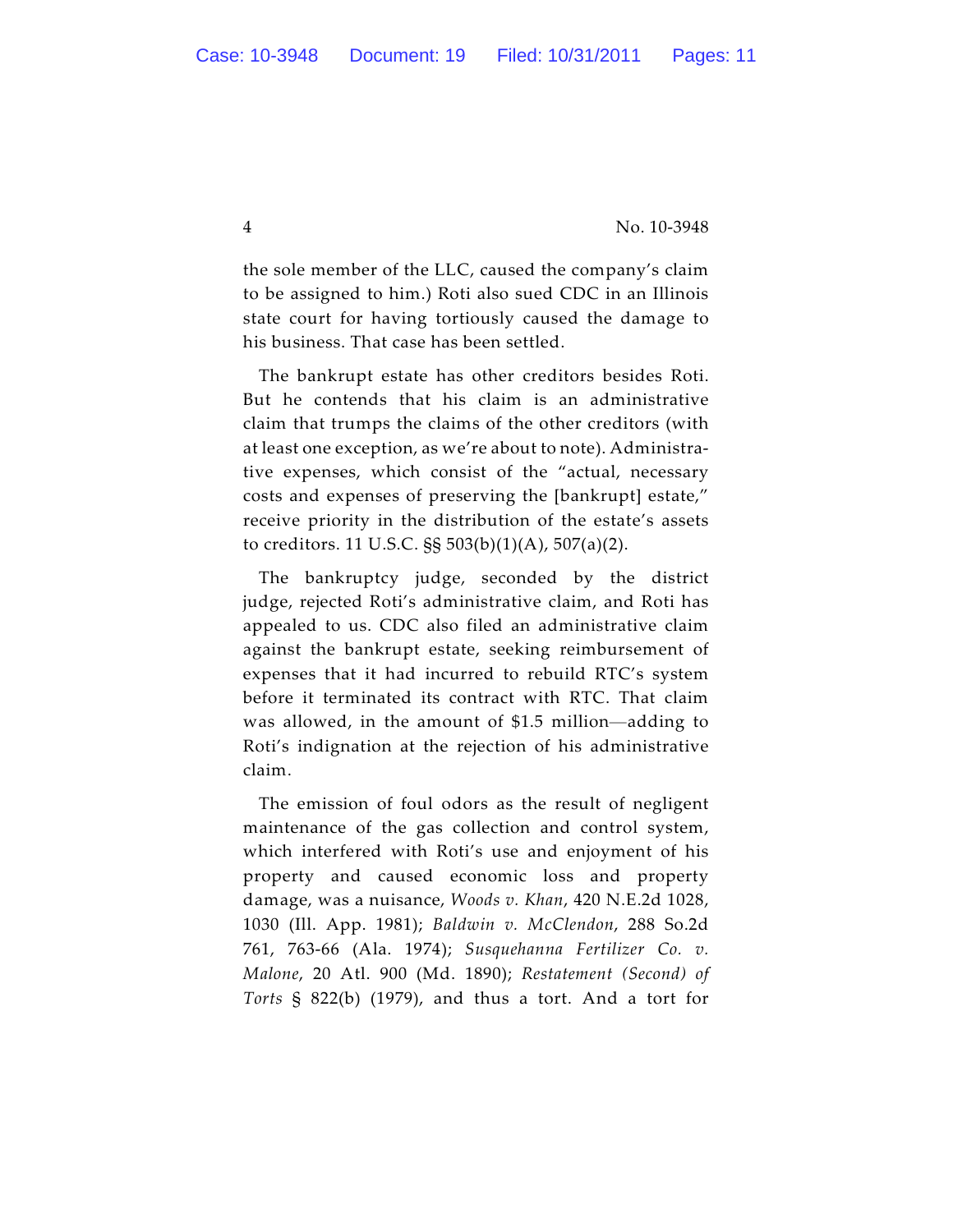the sole member of the LLC, caused the company's claim to be assigned to him.) Roti also sued CDC in an Illinois state court for having tortiously caused the damage to his business. That case has been settled.

The bankrupt estate has other creditors besides Roti. But he contends that his claim is an administrative claim that trumps the claims of the other creditors (with at least one exception, as we're about to note). Administrative expenses, which consist of the "actual, necessary costs and expenses of preserving the [bankrupt] estate," receive priority in the distribution of the estate's assets to creditors. 11 U.S.C. §§ 503(b)(1)(A), 507(a)(2).

The bankruptcy judge, seconded by the district judge, rejected Roti's administrative claim, and Roti has appealed to us. CDC also filed an administrative claim against the bankrupt estate, seeking reimbursement of expenses that it had incurred to rebuild RTC's system before it terminated its contract with RTC. That claim was allowed, in the amount of \$1.5 million—adding to Roti's indignation at the rejection of his administrative claim.

The emission of foul odors as the result of negligent maintenance of the gas collection and control system, which interfered with Roti's use and enjoyment of his property and caused economic loss and property damage, was a nuisance, *Woods v. Khan*, 420 N.E.2d 1028, 1030 (Ill. App. 1981); *Baldwin v. McClendon*, 288 So.2d 761, 763-66 (Ala. 1974); *Susquehanna Fertilizer Co. v. Malone*, 20 Atl. 900 (Md. 1890); *Restatement (Second) of Torts* § 822(b) (1979), and thus a tort. And a tort for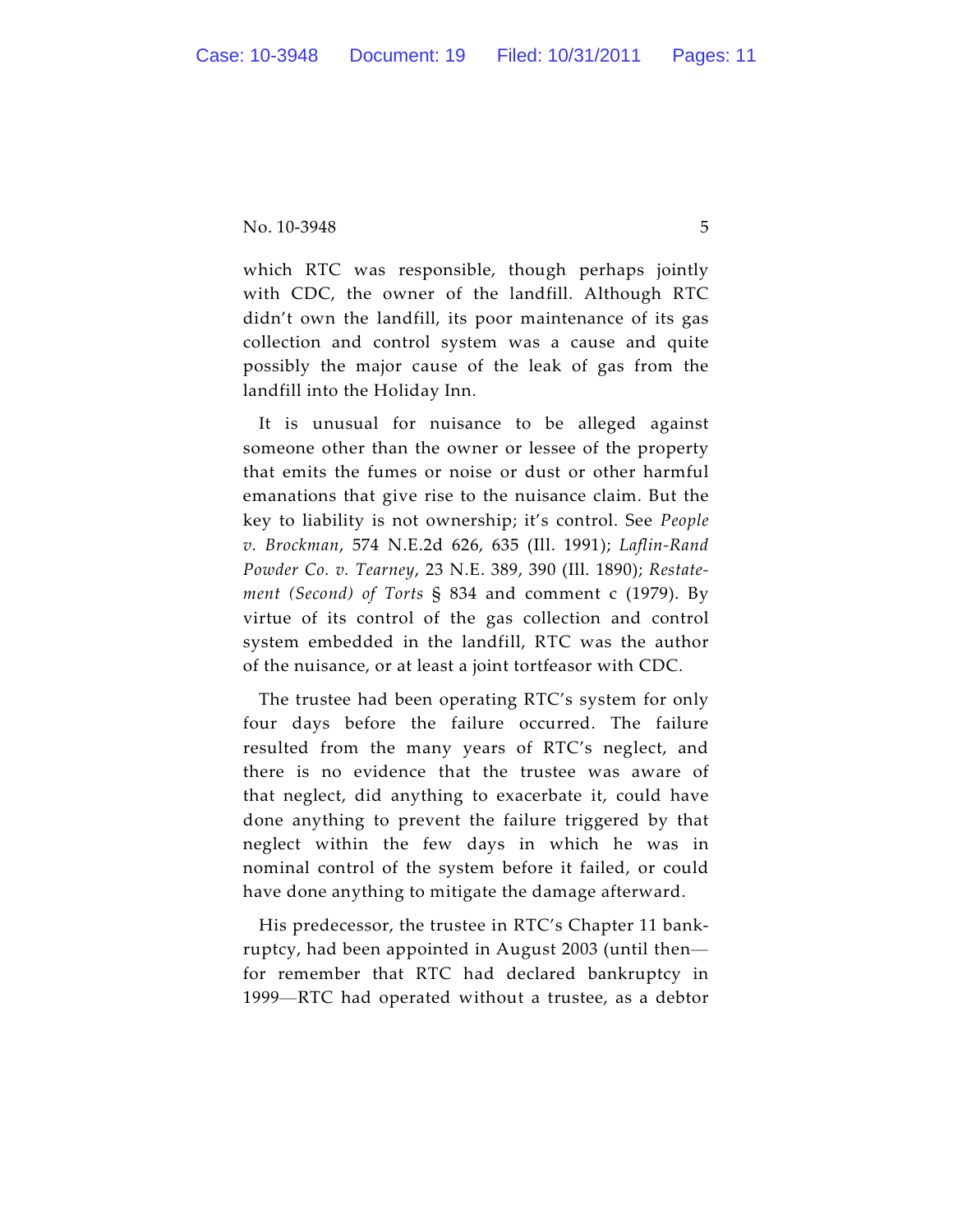which RTC was responsible, though perhaps jointly with CDC, the owner of the landfill. Although RTC didn't own the landfill, its poor maintenance of its gas collection and control system was a cause and quite possibly the major cause of the leak of gas from the landfill into the Holiday Inn.

It is unusual for nuisance to be alleged against someone other than the owner or lessee of the property that emits the fumes or noise or dust or other harmful emanations that give rise to the nuisance claim. But the key to liability is not ownership; it's control. See *People v. Brockman*, 574 N.E.2d 626, 635 (Ill. 1991); *Laflin-Rand Powder Co. v. Tearney*, 23 N.E. 389, 390 (Ill. 1890); *Restatement (Second) of Torts* § 834 and comment c (1979). By virtue of its control of the gas collection and control system embedded in the landfill, RTC was the author of the nuisance, or at least a joint tortfeasor with CDC.

The trustee had been operating RTC's system for only four days before the failure occurred. The failure resulted from the many years of RTC's neglect, and there is no evidence that the trustee was aware of that neglect, did anything to exacerbate it, could have done anything to prevent the failure triggered by that neglect within the few days in which he was in nominal control of the system before it failed, or could have done anything to mitigate the damage afterward.

His predecessor, the trustee in RTC's Chapter 11 bankruptcy, had been appointed in August 2003 (until then for remember that RTC had declared bankruptcy in 1999—RTC had operated without a trustee, as a debtor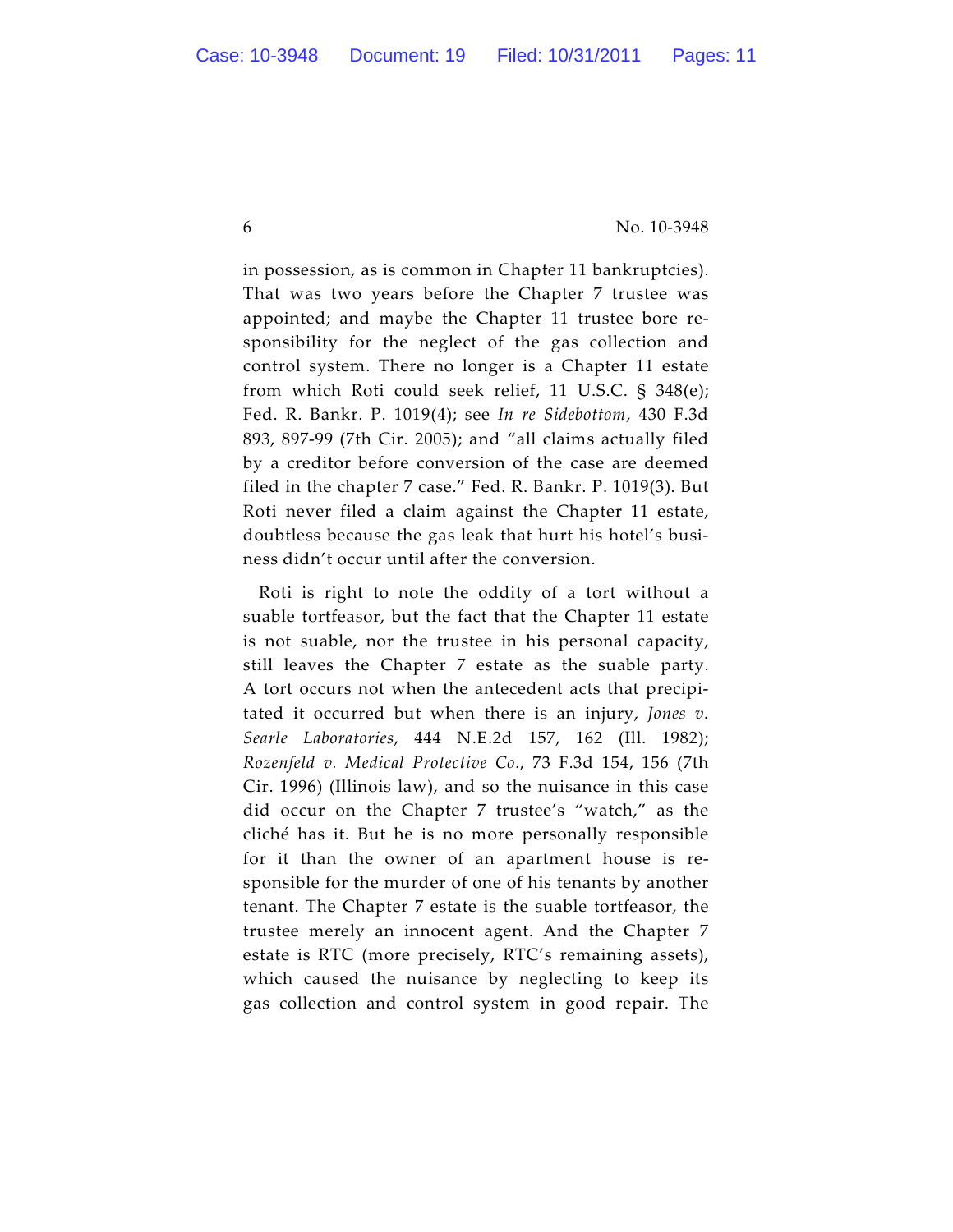in possession, as is common in Chapter 11 bankruptcies). That was two years before the Chapter 7 trustee was appointed; and maybe the Chapter 11 trustee bore responsibility for the neglect of the gas collection and control system. There no longer is a Chapter 11 estate from which Roti could seek relief, 11 U.S.C. § 348(e); Fed. R. Bankr. P. 1019(4); see *In re Sidebottom*, 430 F.3d 893, 897-99 (7th Cir. 2005); and "all claims actually filed by a creditor before conversion of the case are deemed filed in the chapter 7 case." Fed. R. Bankr. P. 1019(3). But Roti never filed a claim against the Chapter 11 estate, doubtless because the gas leak that hurt his hotel's business didn't occur until after the conversion.

Roti is right to note the oddity of a tort without a suable tortfeasor, but the fact that the Chapter 11 estate is not suable, nor the trustee in his personal capacity, still leaves the Chapter 7 estate as the suable party. A tort occurs not when the antecedent acts that precipitated it occurred but when there is an injury, *Jones v. Searle Laboratories*, 444 N.E.2d 157, 162 (Ill. 1982); *Rozenfeld v. Medical Protective Co.*, 73 F.3d 154, 156 (7th Cir. 1996) (Illinois law), and so the nuisance in this case did occur on the Chapter 7 trustee's "watch," as the cliché has it. But he is no more personally responsible for it than the owner of an apartment house is responsible for the murder of one of his tenants by another tenant. The Chapter 7 estate is the suable tortfeasor, the trustee merely an innocent agent. And the Chapter 7 estate is RTC (more precisely, RTC's remaining assets), which caused the nuisance by neglecting to keep its gas collection and control system in good repair. The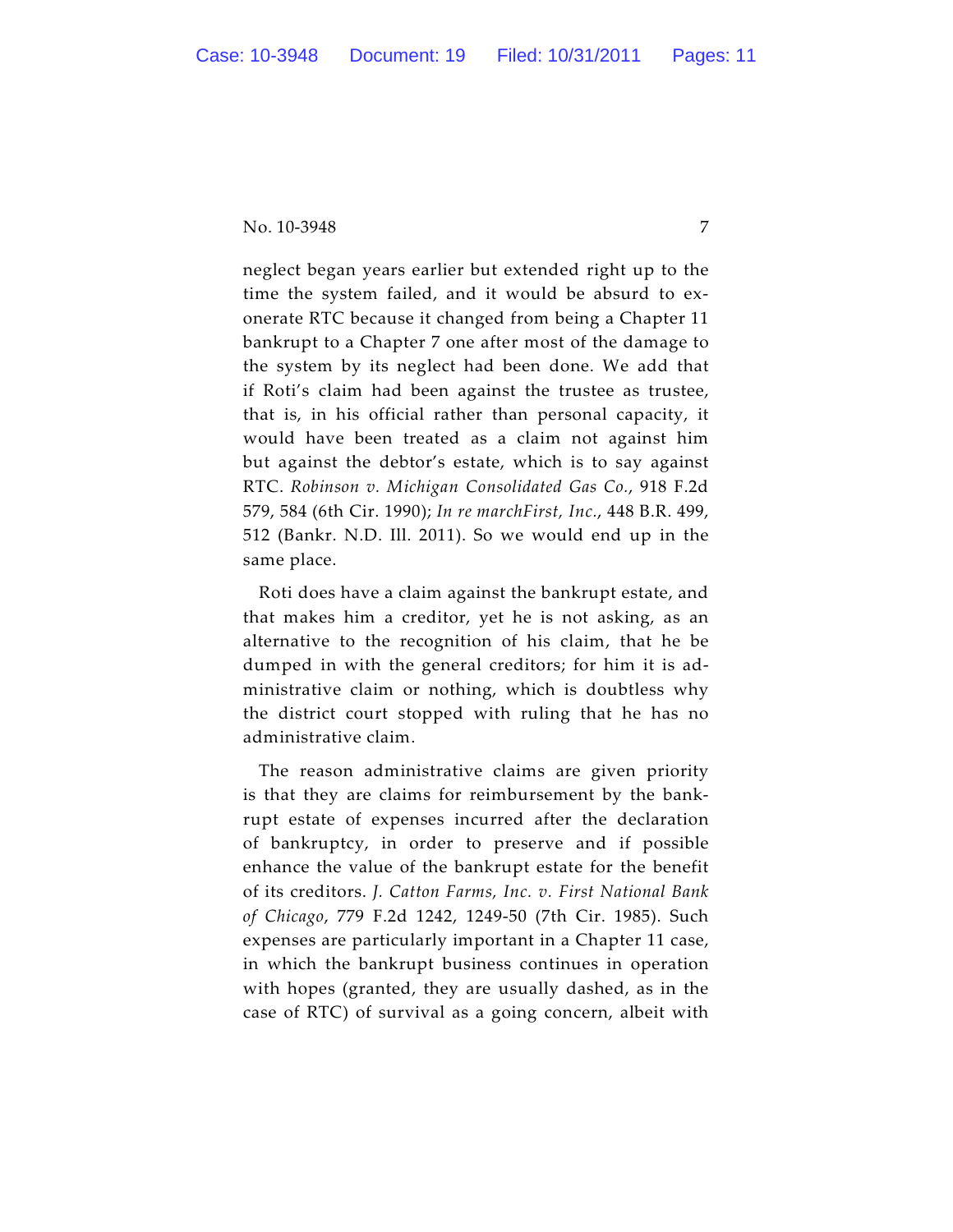neglect began years earlier but extended right up to the time the system failed, and it would be absurd to exonerate RTC because it changed from being a Chapter 11 bankrupt to a Chapter 7 one after most of the damage to the system by its neglect had been done. We add that if Roti's claim had been against the trustee as trustee, that is, in his official rather than personal capacity, it would have been treated as a claim not against him but against the debtor's estate, which is to say against RTC. *Robinson v. Michigan Consolidated Gas Co.*, 918 F.2d 579, 584 (6th Cir. 1990); *In re marchFirst, Inc.*, 448 B.R. 499, 512 (Bankr. N.D. Ill. 2011). So we would end up in the same place.

Roti does have a claim against the bankrupt estate, and that makes him a creditor, yet he is not asking, as an alternative to the recognition of his claim, that he be dumped in with the general creditors; for him it is administrative claim or nothing, which is doubtless why the district court stopped with ruling that he has no administrative claim.

The reason administrative claims are given priority is that they are claims for reimbursement by the bankrupt estate of expenses incurred after the declaration of bankruptcy, in order to preserve and if possible enhance the value of the bankrupt estate for the benefit of its creditors. *J. Catton Farms, Inc. v. First National Bank of Chicago*, 779 F.2d 1242, 1249-50 (7th Cir. 1985). Such expenses are particularly important in a Chapter 11 case, in which the bankrupt business continues in operation with hopes (granted, they are usually dashed, as in the case of RTC) of survival as a going concern, albeit with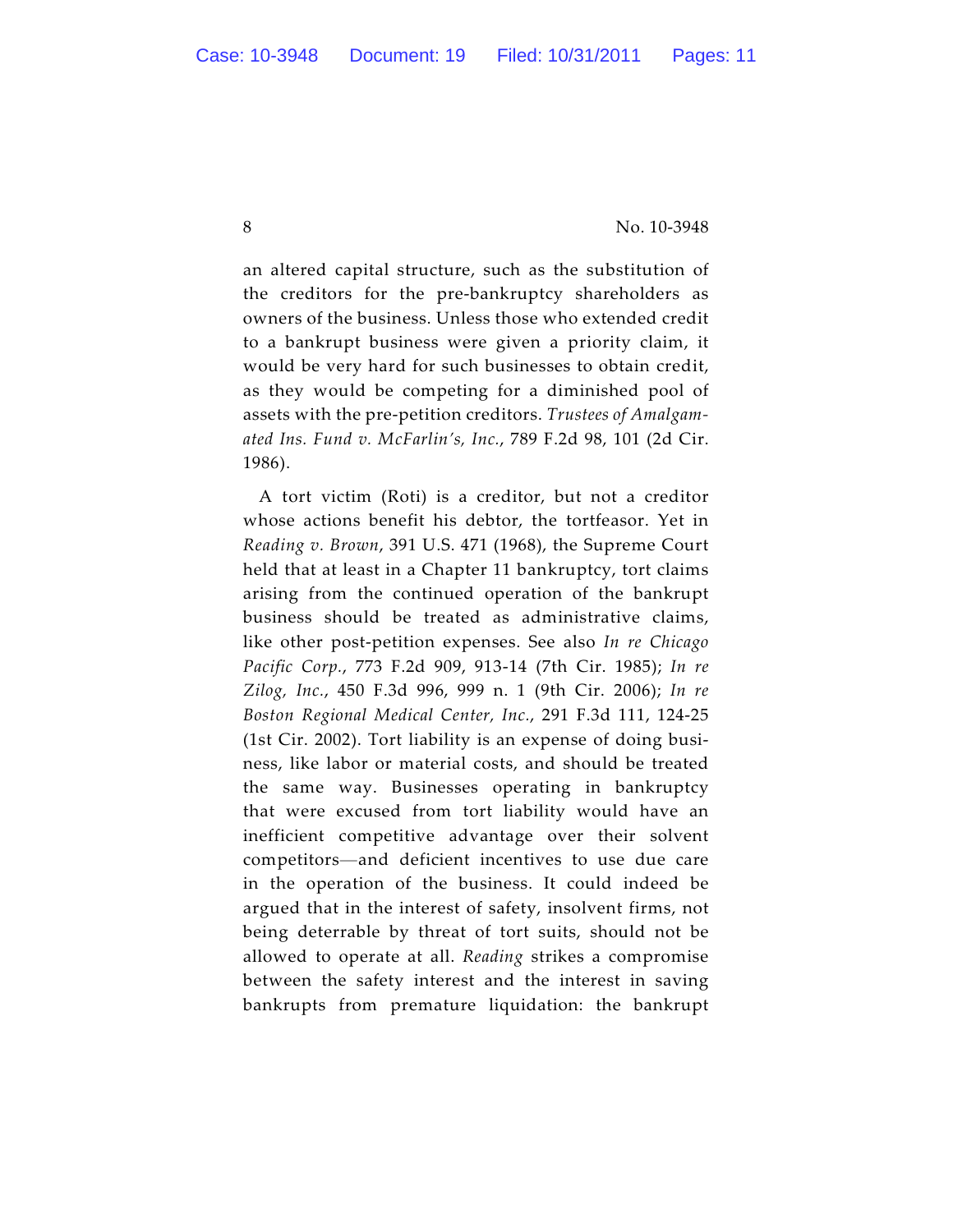an altered capital structure, such as the substitution of the creditors for the pre-bankruptcy shareholders as owners of the business. Unless those who extended credit to a bankrupt business were given a priority claim, it would be very hard for such businesses to obtain credit, as they would be competing for a diminished pool of assets with the pre-petition creditors. *Trustees of Amalgamated Ins. Fund v. McFarlin's, Inc.*, 789 F.2d 98, 101 (2d Cir. 1986).

A tort victim (Roti) is a creditor, but not a creditor whose actions benefit his debtor, the tortfeasor. Yet in *Reading v. Brown*, 391 U.S. 471 (1968), the Supreme Court held that at least in a Chapter 11 bankruptcy, tort claims arising from the continued operation of the bankrupt business should be treated as administrative claims, like other post-petition expenses. See also *In re Chicago Pacific Corp.*, 773 F.2d 909, 913-14 (7th Cir. 1985); *In re Zilog, Inc.*, 450 F.3d 996, 999 n. 1 (9th Cir. 2006); *In re Boston Regional Medical Center, Inc.*, 291 F.3d 111, 124-25 (1st Cir. 2002). Tort liability is an expense of doing business, like labor or material costs, and should be treated the same way. Businesses operating in bankruptcy that were excused from tort liability would have an inefficient competitive advantage over their solvent competitors—and deficient incentives to use due care in the operation of the business. It could indeed be argued that in the interest of safety, insolvent firms, not being deterrable by threat of tort suits, should not be allowed to operate at all. *Reading* strikes a compromise between the safety interest and the interest in saving bankrupts from premature liquidation: the bankrupt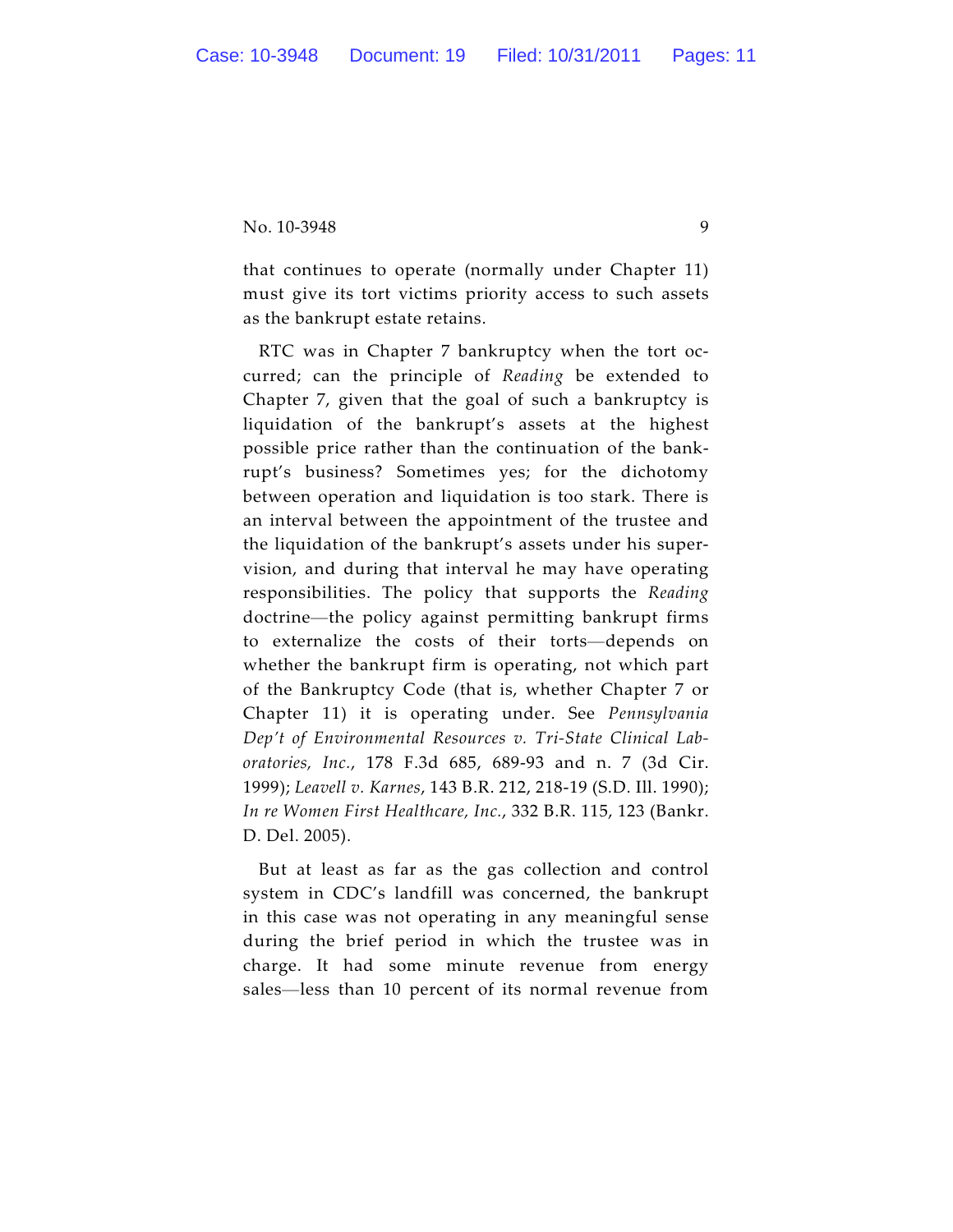that continues to operate (normally under Chapter 11) must give its tort victims priority access to such assets as the bankrupt estate retains.

RTC was in Chapter 7 bankruptcy when the tort occurred; can the principle of *Reading* be extended to Chapter 7, given that the goal of such a bankruptcy is liquidation of the bankrupt's assets at the highest possible price rather than the continuation of the bankrupt's business? Sometimes yes; for the dichotomy between operation and liquidation is too stark. There is an interval between the appointment of the trustee and the liquidation of the bankrupt's assets under his supervision, and during that interval he may have operating responsibilities. The policy that supports the *Reading* doctrine—the policy against permitting bankrupt firms to externalize the costs of their torts—depends on whether the bankrupt firm is operating, not which part of the Bankruptcy Code (that is, whether Chapter 7 or Chapter 11) it is operating under. See *Pennsylvania Dep't of Environmental Resources v. Tri-State Clinical Laboratories, Inc.*, 178 F.3d 685, 689-93 and n. 7 (3d Cir. 1999); *Leavell v. Karnes*, 143 B.R. 212, 218-19 (S.D. Ill. 1990); *In re Women First Healthcare, Inc.*, 332 B.R. 115, 123 (Bankr. D. Del. 2005).

But at least as far as the gas collection and control system in CDC's landfill was concerned, the bankrupt in this case was not operating in any meaningful sense during the brief period in which the trustee was in charge. It had some minute revenue from energy sales—less than 10 percent of its normal revenue from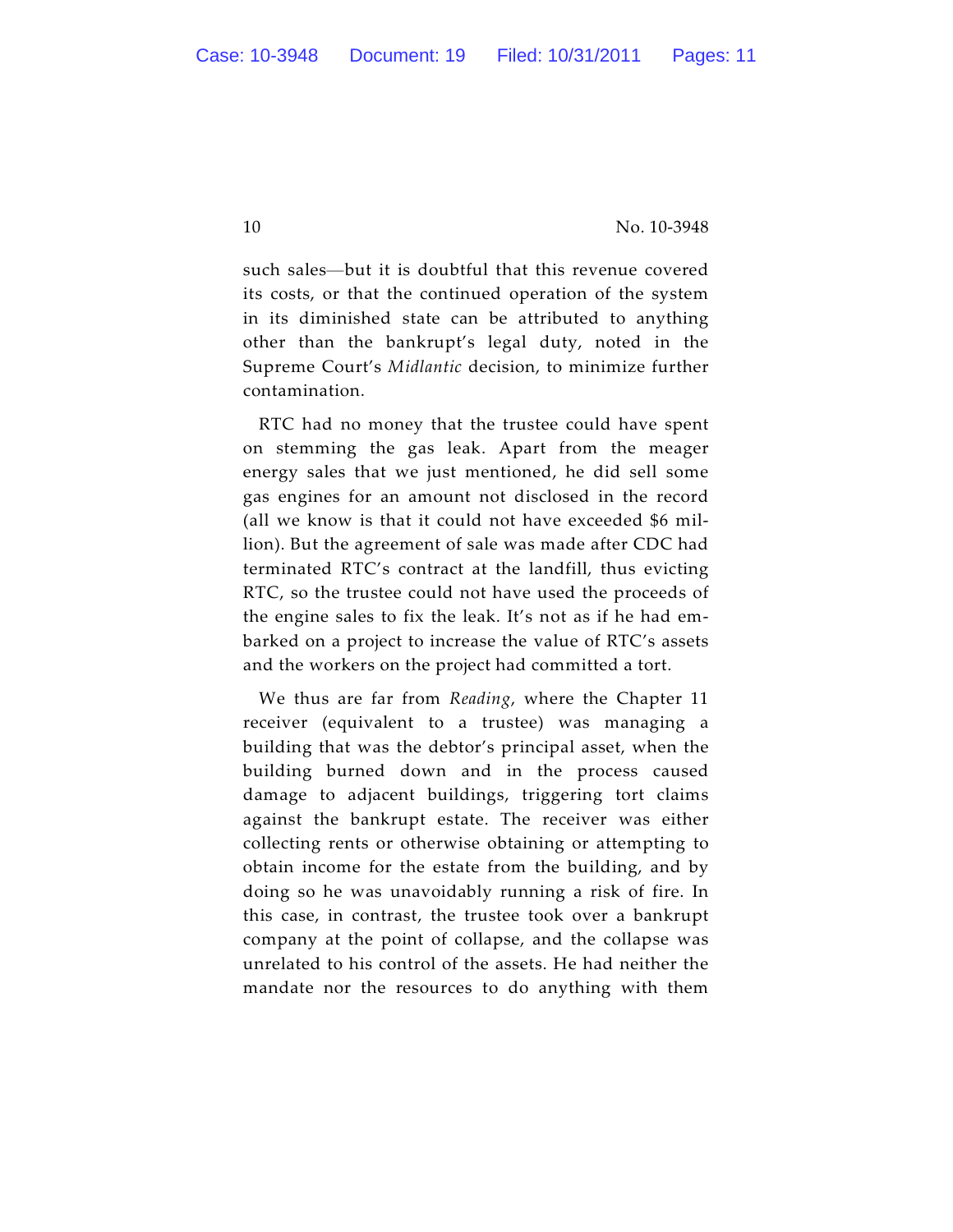such sales—but it is doubtful that this revenue covered its costs, or that the continued operation of the system in its diminished state can be attributed to anything other than the bankrupt's legal duty, noted in the Supreme Court's *Midlantic* decision, to minimize further contamination.

RTC had no money that the trustee could have spent on stemming the gas leak. Apart from the meager energy sales that we just mentioned, he did sell some gas engines for an amount not disclosed in the record (all we know is that it could not have exceeded \$6 million). But the agreement of sale was made after CDC had terminated RTC's contract at the landfill, thus evicting RTC, so the trustee could not have used the proceeds of the engine sales to fix the leak. It's not as if he had embarked on a project to increase the value of RTC's assets and the workers on the project had committed a tort.

We thus are far from *Reading*, where the Chapter 11 receiver (equivalent to a trustee) was managing a building that was the debtor's principal asset, when the building burned down and in the process caused damage to adjacent buildings, triggering tort claims against the bankrupt estate. The receiver was either collecting rents or otherwise obtaining or attempting to obtain income for the estate from the building, and by doing so he was unavoidably running a risk of fire. In this case, in contrast, the trustee took over a bankrupt company at the point of collapse, and the collapse was unrelated to his control of the assets. He had neither the mandate nor the resources to do anything with them